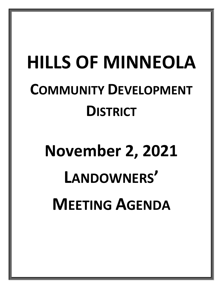## **HILLS OF MINNEOLA COMMUNITY DEVELOPMENT DISTRICT**

# **November 2, 2021 LANDOWNERS' MEETING AGENDA**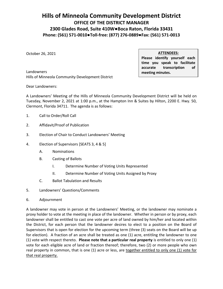### **Hills of Minneola Community Development District OFFICE OF THE DISTRICT MANAGER 2300 Glades Road, Suite 410W●Boca Raton, Florida 33431 Phone: (561) 571-0010●Toll-free: (877) 276-0889●Fax: (561) 571-0013**

October 26, 2021

**ATTENDEES:**

**Please identify yourself each time you speak to facilitate accurate transcription of meeting minutes.**

Landowners Hills of Minneola Community Development District

Dear Landowners:

A Landowners' Meeting of the Hills of Minneola Community Development District will be held on Tuesday, November 2, 2021 at 1:00 p.m., at the Hampton Inn & Suites by Hilton, 2200 E. Hwy. 50, Clermont, Florida 34711. The agenda is as follows:

- 1. Call to Order/Roll Call
- 2. Affidavit/Proof of Publication
- 3. Election of Chair to Conduct Landowners' Meeting
- 4. Election of Supervisors [SEATS 3, 4 & 5]
	- A. Nominations
	- B. Casting of Ballots
		- I. Determine Number of Voting Units Represented
		- II. Determine Number of Voting Units Assigned by Proxy
	- C. Ballot Tabulation and Results
- 5. Landowners' Questions/Comments
- 6. Adjournment

A landowner may vote in person at the Landowners' Meeting, or the landowner may nominate a proxy holder to vote at the meeting in place of the landowner. Whether in person or by proxy, each landowner shall be entitled to cast one vote per acre of land owned by him/her and located within the District, for each person that the landowner desires to elect to a position on the Board of Supervisors that is open for election for the upcoming term (three (3) seats on the Board will be up for election). A fraction of an acre shall be treated as one (1) acre, entitling the landowner to one (1) vote with respect thereto. **Please note that a particular real property** is entitled to only one (1) vote for each eligible acre of land or fraction thereof; therefore, two (2) or more people who own real property in common, that is one (1) acre or less, are together entitled to only one (1) vote for that real property.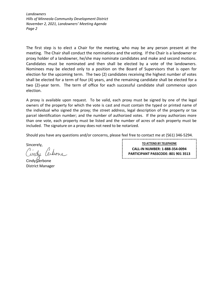*Landowners Hills of Minneola Community Development District November 2, 2021, Landowners' Meeting Agenda Page 2*

The first step is to elect a Chair for the meeting, who may be any person present at the meeting. The Chair shall conduct the nominations and the voting. If the Chair is a landowner or proxy holder of a landowner, he/she may nominate candidates and make and second motions. Candidates must be nominated and then shall be elected by a vote of the landowners. Nominees may be elected only to a position on the Board of Supervisors that is open for election for the upcoming term. The two (2) candidates receiving the highest number of votes shall be elected for a term of four (4) years, and the remaining candidate shall be elected for a two (2)-year term. The term of office for each successful candidate shall commence upon election.

A proxy is available upon request. To be valid, each proxy must be signed by one of the legal owners of the property for which the vote is cast and must contain the typed or printed name of the individual who signed the proxy; the street address, legal description of the property or tax parcel identification number; and the number of authorized votes. If the proxy authorizes more than one vote, each property must be listed and the number of acres of each property must be included. The signature on a proxy does not need to be notarized.

Should you have any questions and/or concerns, please feel free to contact me at (561) 346-5294.

Sincerely,

Cindy (Cerbone District Manager

**TO ATTEND BY TELEPHONE CALL-IN NUMBER: 1-888-354-0094 PARTICIPANT PASSCODE: 801 901 3513**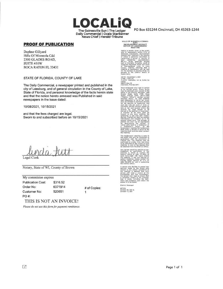The Gainesville Sun | The Ledger Daily Commercial | Ocala StarBanner News Chief I Herald-Tribune

#### **PROOF OF PUBLICATION**

Daphne Gillyard Hills Of Minneola Cdd 2300 GLADES **ROAD,**  SUITE 410W BOCA RATON FL 3343 I

#### STATE OF FLORIDA, COUNTY OF LAKE

The Daily Commercial, a newspaper printed and published in the city of Leesburg, and of general circulation in the County of Lake, State of Florida, and personal knowledge of the facts herein state and that the notice hereto annexed was Published in said newspapers in the issue dated:

10/08/2021, 10/15/2021

and that the fees charged are legal. Sworn to and subscribed before on 10/15/2021

Legal Clerk

Notary, State of WI, County of Brown

My commision expires Publication Cost: \$316.52 Order No: Customer No: PO#: 6371914 520651

# of Copies:

1

THIS IS NOT AN INVOICE!

*Please do not use this form for payment remittance,* 

PO Box 631244 Cincinnati, OH 45263-1244

HILLS OF MINNEOLA COMMU-<br>DEVELOPMENT DISTRICT<br>NOTICE OF LANDOWNERS'<br>MEETING

Notice is hereby given to the publlc and all landowners within HIiis of Minneola Community Developmenl District (the "District"), the location<br>of which Is generally described as comprising a parcel or parcels of land conlalnlng opproxlmately 8B5, 15+ acres, generally located east of Florida's Turnpike, south of Sugarloaf Mountain Road and north<br>of Thoroughbred Lane, in Lake Counly, Florldo, advising lhof o meellng of landowners wlll be held for the purpose or elecllng three {3) persons lo lhe District Boord or Supervisors

DATE: November 2, 2021 TIME: 1:00 p,m. PLACE: Hampton Inn & Suites by HIiton

2200E Hwy so Clermont, Florido 34711

Each landowner may vole in person or by wrltten proxy, Proxy forms moy be obtained upan request ot the office of 1he District Manager, 2300 Glades Rood, Suite 410W, Boca Roton, Florido 33431, 5621571-0010<br>("Disiricl Office"), during normal<br>business hours<sub>;</sub> At sold meeting<br>each landowner or his or her proxy<br>shoil be entitled to nominate persons ror the position of Supervisor and cost one vole per acre of land, or frocllonol portion 1hereof, owned by him or her end localed wllhln the District for each person to be elecled to the position or Supervisor. A fraction of an acre shall be<br>treated as one acre, entilting lhe<br>landowner to one vote with respect lherelo. Platted lots shall be counted<br>indlyIduaIIy and rounded up to the<br>nearest whole acre. The acreage of platted lots shall not be aggregated<br>for determining the number of voting units held by a landowner or o landowner's proxy, At the landowners' meeting the landowners shall select a person to serve as the<br>meeting chair and who shall conduct<br>the meeting.

The landowners' meeling is open to<br>the public and will be conducled in accordance wilh the provisions of Florldo low, The meellng may be continued to a dote, time, and place to be specified on lhe record at such meeting. A copy of the agenda may to be spectrica on the reser<br>meeting, A copy of the age<br>be oblained from the Distric

Any person requiring special occom-modolions lo participate in lhe meeling is asked lo contact lhe Dislrict Office al (561) 571-0010, at least forly-elght (48) hours before<br>the meellng, If you are hearing or<br>speech impaired, please contact the<br>Florida Relay Service at 7-1-1 or<br>(800) 955-8770 for aid in contacting<br>the District Office.

A person who decides to appeal any<br>respect to any matter considered at<br>the meeting is advised that such<br>the meeting is advised that such<br>person will need o record of lhe proceedings and that accordingly, the person may need lo ensure lhat record of<br>de Includi mony and evidence upon which 1he appeal is to be based,

District Manager

6371914<br>October 00, 2021 &<br>October 15, 2021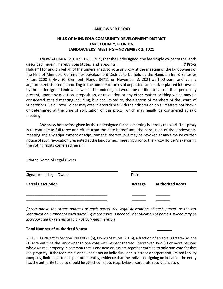#### **LANDOWNER PROXY**

#### **HILLS OF MINNEOLA COMMUNITY DEVELOPMENT DISTRICT LAKE COUNTY, FLORIDA LANDOWNERS' MEETING – NOVEMBER 2, 2021**

KNOW ALL MEN BY THESE PRESENTS, that the undersigned, the fee simple owner of the lands described herein, hereby constitutes and appoints \_\_\_\_\_\_\_\_\_\_\_\_\_\_\_\_\_\_\_\_\_\_\_\_\_\_\_\_\_\_\_ **("Proxy Holder")** for and on behalf of the undersigned, to vote as proxy at the meeting of the landowners of the Hills of Minneola Community Development District to be held at the Hampton Inn & Suites by Hilton, 2200 E Hwy 50, Clermont, Florida 34711 on November 2, 2021 at 1:00 p.m., and at any adjournments thereof, according to the number of acres of unplatted land and/or platted lots owned by the undersigned landowner which the undersigned would be entitled to vote if then personally present, upon any question, proposition, or resolution or any other matter or thing which may be considered at said meeting including, but not limited to, the election of members of the Board of Supervisors. Said Proxy Holder may vote in accordance with their discretion on all matters not known or determined at the time of solicitation of this proxy, which may legally be considered at said meeting.

Any proxy heretofore given by the undersigned for said meeting is hereby revoked. This proxy is to continue in full force and effect from the date hereof until the conclusion of the landowners' meeting and any adjournment or adjournments thereof, but may be revoked at any time by written notice of such revocation presented at the landowners' meeting prior to the Proxy Holder's exercising the voting rights conferred herein.

| Printed Name of Legal Owner |                |                         |
|-----------------------------|----------------|-------------------------|
| Signature of Legal Owner    | Date           |                         |
| <b>Parcel Description</b>   | <b>Acreage</b> | <b>Authorized Votes</b> |
|                             |                |                         |
|                             |                |                         |
|                             |                |                         |

*[Insert above the street address of each parcel, the legal description of each parcel, or the tax identification number of each parcel. If more space is needed, identification of parcels owned may be incorporated by reference to an attachment hereto.]*

#### **Total Number of Authorized Votes: \_\_\_\_\_\_\_**

NOTES: Pursuant to Section 190.006(2)(b), Florida Statutes (2016), a fraction of an acre is treated as one (1) acre entitling the landowner to one vote with respect thereto. Moreover, two (2) or more persons who own real property in common that is one acre or less are together entitled to only one vote for that real property. If the fee simple landowner is not an individual, and is instead a corporation, limited liability company, limited partnership or other entity, evidence that the individual signing on behalf of the entity has the authority to do so should be attached hereto (e.g., bylaws, corporate resolution, etc.).